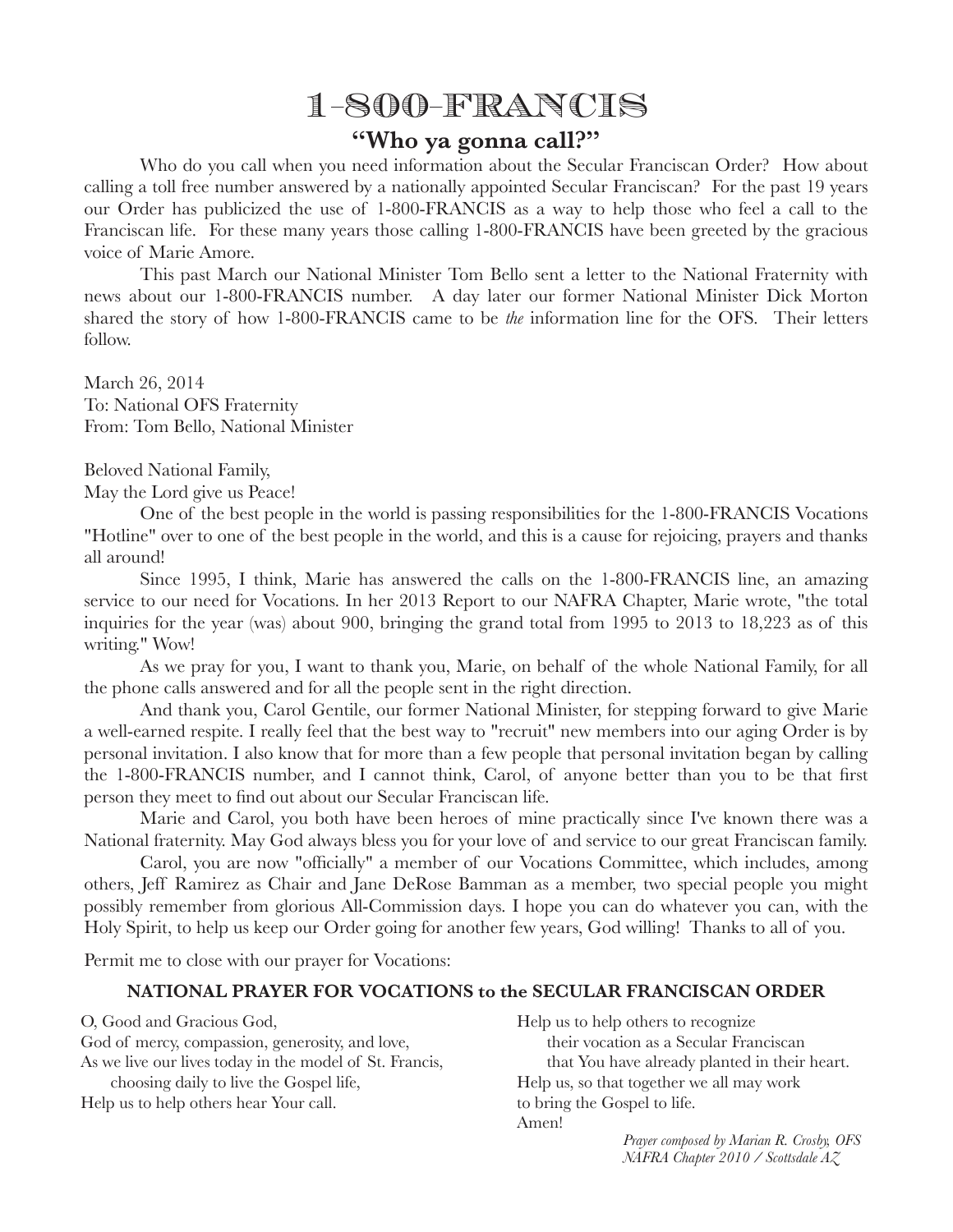## 1-800-FRANCIS

## **"Who ya gonna call?"**

Who do you call when you need information about the Secular Franciscan Order? How about calling a toll free number answered by a nationally appointed Secular Franciscan? For the past 19 years our Order has publicized the use of 1-800-FRANCIS as a way to help those who feel a call to the Franciscan life. For these many years those calling 1-800-FRANCIS have been greeted by the gracious voice of Marie Amore.

This past March our National Minister Tom Bello sent a letter to the National Fraternity with news about our 1-800-FRANCIS number. A day later our former National Minister Dick Morton shared the story of how 1-800-FRANCIS came to be *the* information line for the OFS. Their letters follow.

March 26, 2014 To: National OFS Fraternity From: Tom Bello, National Minister

Beloved National Family,

May the Lord give us Peace!

One of the best people in the world is passing responsibilities for the 1-800-FRANCIS Vocations "Hotline" over to one of the best people in the world, and this is a cause for rejoicing, prayers and thanks all around!

Since 1995, I think, Marie has answered the calls on the 1-800-FRANCIS line, an amazing service to our need for Vocations. In her 2013 Report to our NAFRA Chapter, Marie wrote, "the total inquiries for the year (was) about 900, bringing the grand total from 1995 to 2013 to 18,223 as of this writing." Wow!

As we pray for you, I want to thank you, Marie, on behalf of the whole National Family, for all the phone calls answered and for all the people sent in the right direction.

And thank you, Carol Gentile, our former National Minister, for stepping forward to give Marie a well-earned respite. I really feel that the best way to "recruit" new members into our aging Order is by personal invitation. I also know that for more than a few people that personal invitation began by calling the 1-800-FRANCIS number, and I cannot think, Carol, of anyone better than you to be that first person they meet to find out about our Secular Franciscan life.

Marie and Carol, you both have been heroes of mine practically since I've known there was a National fraternity. May God always bless you for your love of and service to our great Franciscan family.

Carol, you are now "officially" a member of our Vocations Committee, which includes, among others, Jeff Ramirez as Chair and Jane DeRose Bamman as a member, two special people you might possibly remember from glorious All-Commission days. I hope you can do whatever you can, with the Holy Spirit, to help us keep our Order going for another few years, God willing! Thanks to all of you.

Permit me to close with our prayer for Vocations:

## **NATIONAL PRAYER FOR VOCATIONS to the SECULAR FRANCISCAN ORDER**

O, Good and Gracious God, God of mercy, compassion, generosity, and love, As we live our lives today in the model of St. Francis, choosing daily to live the Gospel life, Help us to help others hear Your call.

Help us to help others to recognize their vocation as a Secular Franciscan that You have already planted in their heart. Help us, so that together we all may work to bring the Gospel to life. Amen!

*Prayer composed by Marian R. Crosby, OFS NAFRA Chapter 2010 / Scottsdale AZ*